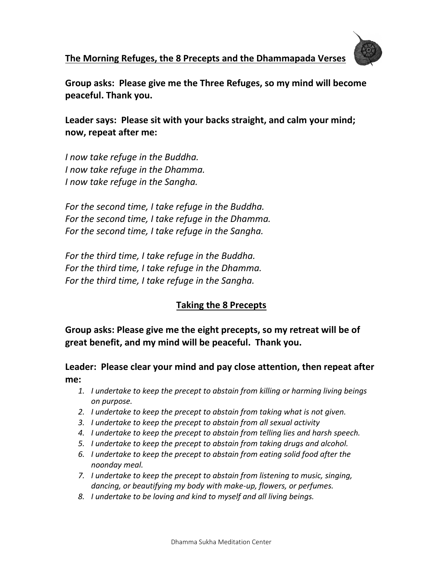# **The Morning Refuges, the 8 Precepts and the Dhammapada Verses**



**Group asks: Please give me the Three Refuges, so my mind will become peaceful. Thank you.**

**Leader says: Please sit with your backs straight, and calm your mind; now, repeat after me:**

*I now take refuge in the Buddha. I now take refuge in the Dhamma. I now take refuge in the Sangha.*

*For the second time, I take refuge in the Buddha. For the second time, I take refuge in the Dhamma. For the second time, I take refuge in the Sangha.*

*For the third time, I take refuge in the Buddha. For the third time, I take refuge in the Dhamma. For the third time, I take refuge in the Sangha.*

# **Taking the 8 Precepts**

**Group asks: Please give me the eight precepts, so my retreat will be of great benefit, and my mind will be peaceful. Thank you.**

### **Leader: Please clear your mind and pay close attention, then repeat after me:**

- *1. I undertake to keep the precept to abstain from killing or harming living beings on purpose.*
- *2. I undertake to keep the precept to abstain from taking what is not given.*
- *3. I undertake to keep the precept to abstain from all sexual activity*
- *4. I undertake to keep the precept to abstain from telling lies and harsh speech.*
- *5. I undertake to keep the precept to abstain from taking drugs and alcohol.*
- *6. I undertake to keep the precept to abstain from eating solid food after the noonday meal.*
- *7. I undertake to keep the precept to abstain from listening to music, singing, dancing, or beautifying my body with make-up, flowers, or perfumes.*
- *8. I undertake to be loving and kind to myself and all living beings.*